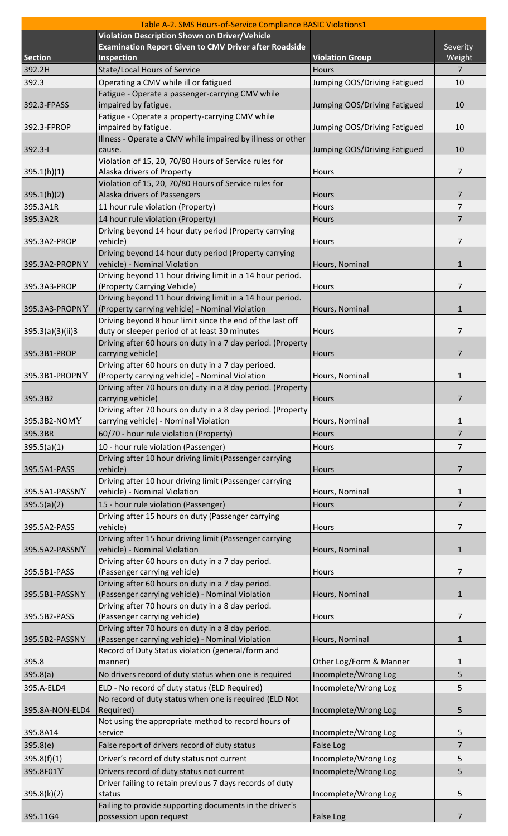|                  | Table A-2. SMS Hours-of-Service Compliance BASIC Violations1                                         |                              |                |
|------------------|------------------------------------------------------------------------------------------------------|------------------------------|----------------|
|                  | Violation Description Shown on Driver/Vehicle                                                        |                              |                |
|                  | <b>Examination Report Given to CMV Driver after Roadside</b>                                         |                              | Severity       |
| <b>Section</b>   | Inspection                                                                                           | <b>Violation Group</b>       | Weight         |
| 392.2H           | <b>State/Local Hours of Service</b>                                                                  | <b>Hours</b>                 | $\overline{7}$ |
| 392.3            | Operating a CMV while ill or fatigued                                                                | Jumping OOS/Driving Fatigued | 10             |
|                  | Fatigue - Operate a passenger-carrying CMV while                                                     |                              |                |
| 392.3-FPASS      | impaired by fatigue.                                                                                 | Jumping OOS/Driving Fatigued | 10             |
| 392.3-FPROP      | Fatigue - Operate a property-carrying CMV while<br>impaired by fatigue.                              |                              | 10             |
|                  | Illness - Operate a CMV while impaired by illness or other                                           | Jumping OOS/Driving Fatigued |                |
| 392.3-I          | cause.                                                                                               | Jumping OOS/Driving Fatigued | 10             |
|                  | Violation of 15, 20, 70/80 Hours of Service rules for                                                |                              |                |
| 395.1(h)(1)      | Alaska drivers of Property                                                                           | Hours                        | 7              |
|                  | Violation of 15, 20, 70/80 Hours of Service rules for                                                |                              |                |
| 395.1(h)(2)      | Alaska drivers of Passengers                                                                         | Hours                        | $\overline{7}$ |
| 395.3A1R         | 11 hour rule violation (Property)                                                                    | <b>Hours</b>                 | 7              |
| 395.3A2R         | 14 hour rule violation (Property)                                                                    | <b>Hours</b>                 | 7              |
|                  | Driving beyond 14 hour duty period (Property carrying                                                |                              |                |
| 395.3A2-PROP     | vehicle)                                                                                             | Hours                        | 7              |
|                  | Driving beyond 14 hour duty period (Property carrying                                                |                              |                |
| 395.3A2-PROPNY   | vehicle) - Nominal Violation                                                                         | Hours, Nominal               | $\mathbf{1}$   |
|                  | Driving beyond 11 hour driving limit in a 14 hour period.                                            |                              |                |
| 395.3A3-PROP     | (Property Carrying Vehicle)                                                                          | Hours                        | 7              |
|                  | Driving beyond 11 hour driving limit in a 14 hour period.                                            |                              |                |
| 395.3A3-PROPNY   | (Property carrying vehicle) - Nominal Violation                                                      | Hours, Nominal               | $\mathbf{1}$   |
|                  | Driving beyond 8 hour limit since the end of the last off                                            |                              |                |
| 395.3(a)(3)(ii)3 | duty or sleeper period of at least 30 minutes                                                        | Hours                        | 7              |
|                  | Driving after 60 hours on duty in a 7 day period. (Property                                          |                              |                |
| 395.3B1-PROP     | carrying vehicle)                                                                                    | <b>Hours</b>                 | $\overline{7}$ |
|                  | Driving after 60 hours on duty in a 7 day perioed.                                                   |                              |                |
| 395.3B1-PROPNY   | (Property carrying vehicle) - Nominal Violation                                                      | Hours, Nominal               | $\mathbf 1$    |
|                  | Driving after 70 hours on duty in a 8 day period. (Property                                          |                              |                |
| 395.3B2          | carrying vehicle)                                                                                    | Hours                        | $\overline{7}$ |
| 395.3B2-NOMY     | Driving after 70 hours on duty in a 8 day period. (Property<br>carrying vehicle) - Nominal Violation | Hours, Nominal               | 1              |
|                  |                                                                                                      |                              |                |
| 395.3BR          | 60/70 - hour rule violation (Property)                                                               | <b>Hours</b>                 | $\overline{7}$ |
| 395.5(a)(1)      | 10 - hour rule violation (Passenger)                                                                 | Hours                        | $\overline{7}$ |
|                  | Driving after 10 hour driving limit (Passenger carrying                                              |                              | $\overline{7}$ |
| 395.5A1-PASS     | vehicle)<br>Driving after 10 hour driving limit (Passenger carrying                                  | <b>Hours</b>                 |                |
| 395.5A1-PASSNY   | vehicle) - Nominal Violation                                                                         | Hours, Nominal               | 1              |
|                  |                                                                                                      | Hours                        | $\overline{7}$ |
| 395.5(a)(2)      | 15 - hour rule violation (Passenger)<br>Driving after 15 hours on duty (Passenger carrying           |                              |                |
| 395.5A2-PASS     | vehicle)                                                                                             | Hours                        | 7              |
|                  | Driving after 15 hour driving limit (Passenger carrying                                              |                              |                |
| 395.5A2-PASSNY   | vehicle) - Nominal Violation                                                                         | Hours, Nominal               | $\mathbf{1}$   |
|                  | Driving after 60 hours on duty in a 7 day period.                                                    |                              |                |
| 395.5B1-PASS     | (Passenger carrying vehicle)                                                                         | <b>Hours</b>                 | 7              |
|                  | Driving after 60 hours on duty in a 7 day period.                                                    |                              |                |
| 395.5B1-PASSNY   | (Passenger carrying vehicle) - Nominal Violation                                                     | Hours, Nominal               | 1              |
|                  | Driving after 70 hours on duty in a 8 day period.                                                    |                              |                |
| 395.5B2-PASS     | (Passenger carrying vehicle)                                                                         | Hours                        | 7              |
|                  | Driving after 70 hours on duty in a 8 day period.                                                    |                              |                |
| 395.5B2-PASSNY   | (Passenger carrying vehicle) - Nominal Violation                                                     | Hours, Nominal               | $\mathbf{1}$   |
|                  | Record of Duty Status violation (general/form and                                                    |                              |                |
| 395.8            | manner)                                                                                              | Other Log/Form & Manner      | 1              |
| 395.8(a)         | No drivers record of duty status when one is required                                                | Incomplete/Wrong Log         | 5              |
| 395.A-ELD4       | ELD - No record of duty status (ELD Required)                                                        | Incomplete/Wrong Log         | 5              |
|                  | No record of duty status when one is required (ELD Not                                               |                              |                |
| 395.8A-NON-ELD4  | Required)                                                                                            | Incomplete/Wrong Log         | 5              |
|                  | Not using the appropriate method to record hours of                                                  |                              |                |
| 395.8A14         | service                                                                                              | Incomplete/Wrong Log         | 5              |
| 395.8(e)         | False report of drivers record of duty status                                                        | <b>False Log</b>             | $\overline{7}$ |
| 395.8(f)(1)      | Driver's record of duty status not current                                                           | Incomplete/Wrong Log         | 5              |
| 395.8F01Y        | Drivers record of duty status not current                                                            | Incomplete/Wrong Log         | 5              |
|                  | Driver failing to retain previous 7 days records of duty                                             |                              |                |
| 395.8(k)(2)      | status                                                                                               | Incomplete/Wrong Log         | 5              |
|                  | Failing to provide supporting documents in the driver's                                              |                              |                |
| 395.11G4         | possession upon request                                                                              | False Log                    | $\overline{7}$ |